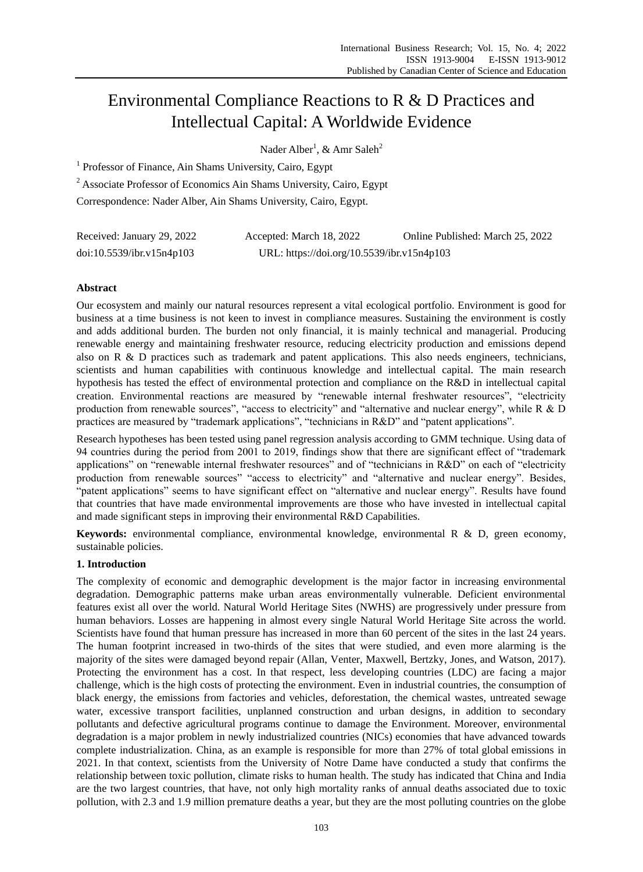# Environmental Compliance Reactions to R & D Practices and Intellectual Capital: A Worldwide Evidence

Nader Alber<sup>1</sup>, & Amr Saleh<sup>2</sup>

<sup>1</sup> Professor of Finance, Ain Shams University, Cairo, Egypt

<sup>2</sup> Associate Professor of Economics Ain Shams University, Cairo, Egypt

Correspondence: Nader Alber, Ain Shams University, Cairo, Egypt.

| Received: January 29, 2022 | Accepted: March 18, 2022                   | Online Published: March 25, 2022 |
|----------------------------|--------------------------------------------|----------------------------------|
| doi:10.5539/ibr.v15n4p103  | URL: https://doi.org/10.5539/ibr.v15n4p103 |                                  |

## **Abstract**

Our ecosystem and mainly our natural resources represent a vital ecological portfolio. Environment is good for business at a time business is not keen to invest in compliance measures. Sustaining the environment is costly and adds additional burden. The burden not only financial, it is mainly technical and managerial. Producing renewable energy and maintaining freshwater resource, reducing electricity production and emissions depend also on R & D practices such as trademark and patent applications. This also needs engineers, technicians, scientists and human capabilities with continuous knowledge and intellectual capital. The main research hypothesis has tested the effect of environmental protection and compliance on the R&D in intellectual capital creation. Environmental reactions are measured by "renewable internal freshwater resources", "electricity production from renewable sources", "access to electricity" and "alternative and nuclear energy", while R & D practices are measured by "trademark applications", "technicians in R&D" and "patent applications".

Research hypotheses has been tested using panel regression analysis according to GMM technique. Using data of 94 countries during the period from 2001 to 2019, findings show that there are significant effect of "trademark applications" on "renewable internal freshwater resources" and of "technicians in R&D" on each of "electricity production from renewable sources" "access to electricity" and "alternative and nuclear energy". Besides, "patent applications" seems to have significant effect on "alternative and nuclear energy". Results have found that countries that have made environmental improvements are those who have invested in intellectual capital and made significant steps in improving their environmental R&D Capabilities.

**Keywords:** environmental compliance, environmental knowledge, environmental R & D, green economy, sustainable policies.

## **1. Introduction**

The complexity of economic and demographic development is the major factor in increasing environmental degradation. Demographic patterns make urban areas environmentally vulnerable. Deficient environmental features exist all over the world. Natural World Heritage Sites (NWHS) are progressively under pressure from human behaviors. Losses are happening in almost every single Natural World Heritage Site across the world. Scientists have found that human pressure has increased in more than 60 percent of the sites in the last 24 years. The human footprint increased in two-thirds of the sites that were studied, and even more alarming is the majority of the sites were damaged beyond repair (Allan, Venter, Maxwell, Bertzky, Jones, and Watson, 2017). Protecting the environment has a cost. In that respect, less developing countries (LDC) are facing a major challenge, which is the high costs of protecting the environment. Even in industrial countries, the consumption of black energy, the emissions from factories and vehicles, deforestation, the chemical wastes, untreated sewage water, excessive transport facilities, unplanned construction and urban designs, in addition to secondary pollutants and defective agricultural programs continue to damage the Environment. Moreover, environmental degradation is a major problem in newly industrialized countries (NICs) economies that have advanced towards complete industrialization. China, as an example is responsible for more than 27% of total global emissions in 2021. In that context, scientists from the University of Notre Dame have conducted a study that confirms the relationship between toxic pollution, climate risks to human health. The study has indicated that China and India are the two largest countries, that have, not only high mortality ranks of annual deaths associated due to toxic pollution, with 2.3 and 1.9 million premature deaths a year, but they are the most polluting countries on the globe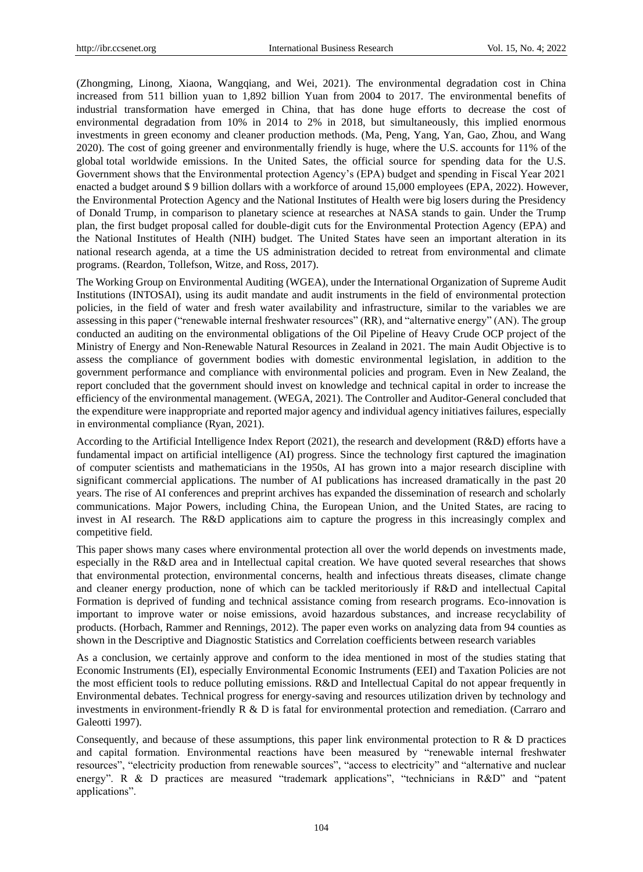(Zhongming, Linong, Xiaona, Wangqiang, and Wei, 2021). The environmental degradation cost in China increased from 511 billion yuan to 1,892 billion Yuan from 2004 to 2017. The environmental benefits of industrial transformation have emerged in China, that has done huge efforts to decrease the cost of environmental degradation from 10% in 2014 to 2% in 2018, but simultaneously, this implied enormous investments in green economy and cleaner production methods. (Ma, Peng, Yang, Yan, Gao, Zhou, and Wang 2020). The cost of going greener and environmentally friendly is huge, where the U.S. accounts for 11% of the global total worldwide emissions. In the United Sates, the official source for spending data for the U.S. Government shows that the Environmental protection Agency's (EPA) budget and spending in Fiscal Year 2021 enacted a budget around \$ 9 billion dollars with a workforce of around 15,000 employees (EPA, 2022). However, the Environmental Protection Agency and the National Institutes of Health were big losers during the Presidency of Donald Trump, in comparison to planetary science at researches at NASA stands to gain. Under the Trump plan, the first budget proposal called for double-digit cuts for the Environmental Protection Agency (EPA) and the National Institutes of Health (NIH) budget. The United States have seen an important alteration in its national research agenda, at a time the US administration decided to retreat from environmental and climate programs. (Reardon, Tollefson, Witze, and Ross, 2017).

The Working Group on Environmental Auditing (WGEA), under the International Organization of Supreme Audit Institutions (INTOSAI), using its audit mandate and audit instruments in the field of environmental protection policies, in the field of water and fresh water availability and infrastructure, similar to the variables we are assessing in this paper ("renewable internal freshwater resources" (RR), and "alternative energy" (AN). The group conducted an auditing on the environmental obligations of the Oil Pipeline of Heavy Crude OCP project of the Ministry of Energy and Non-Renewable Natural Resources in Zealand in 2021. The main Audit Objective is to assess the compliance of government bodies with domestic environmental legislation, in addition to the government performance and compliance with environmental policies and program. Even in New Zealand, the report concluded that the government should invest on knowledge and technical capital in order to increase the efficiency of the environmental management. (WEGA, 2021). The Controller and Auditor-General concluded that the expenditure were inappropriate and reported major agency and individual agency initiatives failures, especially in environmental compliance (Ryan, 2021).

According to the Artificial Intelligence Index Report (2021), the research and development (R&D) efforts have a fundamental impact on artificial intelligence (AI) progress. Since the technology first captured the imagination of computer scientists and mathematicians in the 1950s, AI has grown into a major research discipline with significant commercial applications. The number of AI publications has increased dramatically in the past 20 years. The rise of AI conferences and preprint archives has expanded the dissemination of research and scholarly communications. Major Powers, including China, the European Union, and the United States, are racing to invest in AI research. The R&D applications aim to capture the progress in this increasingly complex and competitive field.

This paper shows many cases where environmental protection all over the world depends on investments made, especially in the R&D area and in Intellectual capital creation. We have quoted several researches that shows that environmental protection, environmental concerns, health and infectious threats diseases, climate change and cleaner energy production, none of which can be tackled meritoriously if R&D and intellectual Capital Formation is deprived of funding and technical assistance coming from research programs. Eco-innovation is important to improve water or noise emissions, avoid hazardous substances, and increase recyclability of products. (Horbach, Rammer and Rennings, 2012). The paper even works on analyzing data from 94 counties as shown in the Descriptive and Diagnostic Statistics and Correlation coefficients between research variables

As a conclusion, we certainly approve and conform to the idea mentioned in most of the studies stating that Economic Instruments (EI), especially Environmental Economic Instruments (EEI) and Taxation Policies are not the most efficient tools to reduce polluting emissions. R&D and Intellectual Capital do not appear frequently in Environmental debates. Technical progress for energy-saving and resources utilization driven by technology and investments in environment-friendly R & D is fatal for environmental protection and remediation. (Carraro and Galeotti 1997).

Consequently, and because of these assumptions, this paper link environmental protection to R & D practices and capital formation. Environmental reactions have been measured by "renewable internal freshwater resources", "electricity production from renewable sources", "access to electricity" and "alternative and nuclear energy". R & D practices are measured "trademark applications", "technicians in R&D" and "patent applications".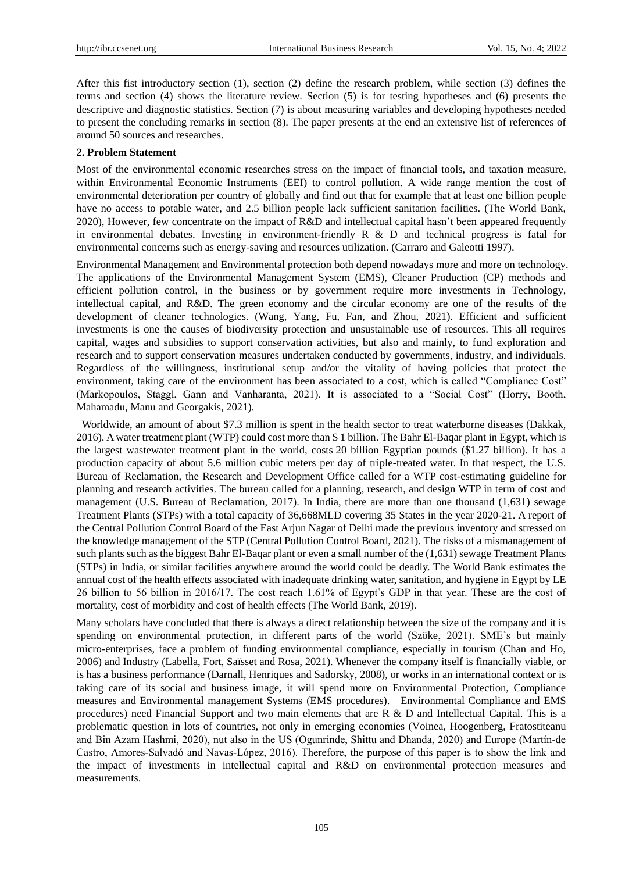After this fist introductory section (1), section (2) define the research problem, while section (3) defines the terms and section (4) shows the literature review. Section (5) is for testing hypotheses and (6) presents the descriptive and diagnostic statistics. Section (7) is about measuring variables and developing hypotheses needed to present the concluding remarks in section (8). The paper presents at the end an extensive list of references of around 50 sources and researches.

### **2. Problem Statement**

Most of the environmental economic researches stress on the impact of financial tools, and taxation measure, within Environmental Economic Instruments (EEI) to control pollution. A wide range mention the cost of environmental deterioration per country of globally and find out that for example that at least one billion people have no access to potable water, and 2.5 billion people lack sufficient sanitation facilities. (The World Bank, 2020), However, few concentrate on the impact of R&D and intellectual capital hasn't been appeared frequently in environmental debates. Investing in environment-friendly  $R \& D$  and technical progress is fatal for environmental concerns such as energy-saving and resources utilization. (Carraro and Galeotti 1997).

Environmental Management and Environmental protection both depend nowadays more and more on technology. The applications of the Environmental Management System (EMS), Cleaner Production (CP) methods and efficient pollution control, in the business or by government require more investments in Technology, intellectual capital, and R&D. The green economy and the circular economy are one of the results of the development of cleaner technologies. (Wang, Yang, Fu, Fan, and Zhou, 2021). Efficient and sufficient investments is one the causes of biodiversity protection and unsustainable use of resources. This all requires capital, wages and subsidies to support conservation activities, but also and mainly, to fund exploration and research and to support conservation measures undertaken conducted by governments, industry, and individuals. Regardless of the willingness, institutional setup and/or the vitality of having policies that protect the environment, taking care of the environment has been associated to a cost, which is called "Compliance Cost" (Markopoulos, Staggl, Gann and Vanharanta, 2021). It is associated to a "Social Cost" (Horry, Booth, Mahamadu, Manu and Georgakis, 2021).

Worldwide, an amount of about \$7.3 million is spent in the health sector to treat waterborne diseases (Dakkak, 2016). A water treatment plant (WTP) could cost more than \$ 1 billion. The Bahr El-Baqar plant in Egypt, which is the largest wastewater treatment plant in the world, costs 20 billion Egyptian pounds (\$1.27 billion). It has a production capacity of about 5.6 million cubic meters per day of triple-treated water. In that respect, the U.S. Bureau of Reclamation, the Research and Development Office called for a WTP cost-estimating guideline for planning and research activities. The bureau called for a planning, research, and design WTP in term of cost and management (U.S. Bureau of Reclamation, 2017). In India, there are more than one thousand (1,631) sewage Treatment Plants (STPs) with a total capacity of 36,668MLD covering 35 States in the year 2020-21. A report of the Central Pollution Control Board of the East Arjun Nagar of Delhi made the previous inventory and stressed on the knowledge management of the STP (Central Pollution Control Board, 2021). The risks of a mismanagement of such plants such as the biggest Bahr El-Baqar plant or even a small number of the (1,631) sewage Treatment Plants (STPs) in India, or similar facilities anywhere around the world could be deadly. The World Bank estimates the annual cost of the health effects associated with inadequate drinking water, sanitation, and hygiene in Egypt by LE 26 billion to 56 billion in 2016/17. The cost reach 1.61% of Egypt's GDP in that year. These are the cost of mortality, cost of morbidity and cost of health effects (The World Bank, 2019).

Many scholars have concluded that there is always a direct relationship between the size of the company and it is spending on environmental protection, in different parts of the world (Szöke, 2021). SME's but mainly micro-enterprises, face a problem of funding environmental compliance, especially in tourism (Chan and Ho, 2006) and Industry (Labella, Fort, Saïsset and Rosa, 2021). Whenever the company itself is financially viable, or is has a business performance (Darnall, Henriques and Sadorsky, 2008), or works in an international context or is taking care of its social and business image, it will spend more on Environmental Protection, Compliance measures and Environmental management Systems (EMS procedures). Environmental Compliance and EMS procedures) need Financial Support and two main elements that are R & D and Intellectual Capital. This is a problematic question in lots of countries, not only in emerging economies (Voinea, Hoogenberg, Fratostiteanu and Bin Azam Hashmi, 2020), nut also in the US (Ogunrinde, Shittu and Dhanda, 2020) and Europe (Martín‐de Castro, Amores‐Salvadó and Navas‐López, 2016). Therefore, the purpose of this paper is to show the link and the impact of investments in intellectual capital and R&D on environmental protection measures and measurements.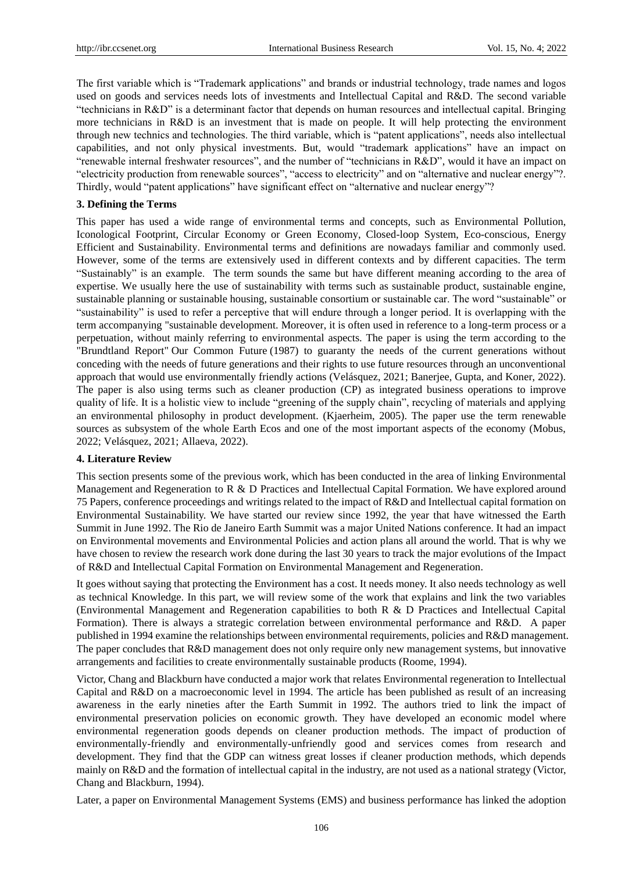The first variable which is "Trademark applications" and brands or industrial technology, trade names and logos used on goods and services needs lots of investments and Intellectual Capital and R&D. The second variable ―technicians in R&D‖ is a determinant factor that depends on human resources and intellectual capital. Bringing more technicians in R&D is an investment that is made on people. It will help protecting the environment through new technics and technologies. The third variable, which is "patent applications", needs also intellectual capabilities, and not only physical investments. But, would "trademark applications" have an impact on "renewable internal freshwater resources", and the number of "technicians in R&D", would it have an impact on "electricity production from renewable sources", "access to electricity" and on "alternative and nuclear energy"?. Thirdly, would "patent applications" have significant effect on "alternative and nuclear energy"?

#### **3. Defining the Terms**

This paper has used a wide range of environmental terms and concepts, such as Environmental Pollution, Iconological Footprint, Circular Economy or Green Economy, Closed-loop System, Eco-conscious, Energy Efficient and Sustainability. Environmental terms and definitions are nowadays familiar and commonly used. However, some of the terms are extensively used in different contexts and by different capacities. The term ―Sustainably‖ is an example. The term sounds the same but have different meaning according to the area of expertise. We usually here the use of sustainability with terms such as sustainable product, sustainable engine, sustainable planning or sustainable housing, sustainable consortium or sustainable car. The word "sustainable" or "sustainability" is used to refer a perceptive that will endure through a longer period. It is overlapping with the term accompanying "sustainable development. Moreover, it is often used in reference to a long-term process or a perpetuation, without mainly referring to environmental aspects. The paper is using the term according to the "Brundtland Report" Our Common Future (1987) to guaranty the needs of the current generations without conceding with the needs of future generations and their rights to use future resources through an unconventional approach that would use environmentally friendly actions (Velásquez, 2021; Banerjee, Gupta, and Koner, 2022). The paper is also using terms such as cleaner production (CP) as integrated business operations to improve quality of life. It is a holistic view to include "greening of the supply chain", recycling of materials and applying an environmental philosophy in product development. (Kjaerheim, 2005). The paper use the term renewable sources as subsystem of the whole Earth Ecos and one of the most important aspects of the economy (Mobus, 2022; Velásquez, 2021; Allaeva, 2022).

#### **4. Literature Review**

This section presents some of the previous work, which has been conducted in the area of linking Environmental Management and Regeneration to R & D Practices and Intellectual Capital Formation. We have explored around 75 Papers, conference proceedings and writings related to the impact of R&D and Intellectual capital formation on Environmental Sustainability. We have started our review since 1992, the year that have witnessed the Earth Summit in June 1992. The Rio de Janeiro Earth Summit was a major United Nations conference. It had an impact on Environmental movements and Environmental Policies and action plans all around the world. That is why we have chosen to review the research work done during the last 30 years to track the major evolutions of the Impact of R&D and Intellectual Capital Formation on Environmental Management and Regeneration.

It goes without saying that protecting the Environment has a cost. It needs money. It also needs technology as well as technical Knowledge. In this part, we will review some of the work that explains and link the two variables (Environmental Management and Regeneration capabilities to both R & D Practices and Intellectual Capital Formation). There is always a strategic correlation between environmental performance and R&D. A paper published in 1994 examine the relationships between environmental requirements, policies and R&D management. The paper concludes that R&D management does not only require only new management systems, but innovative arrangements and facilities to create environmentally sustainable products (Roome, 1994).

Victor, Chang and Blackburn have conducted a major work that relates Environmental regeneration to Intellectual Capital and R&D on a macroeconomic level in 1994. The article has been published as result of an increasing awareness in the early nineties after the Earth Summit in 1992. The authors tried to link the impact of environmental preservation policies on economic growth. They have developed an economic model where environmental regeneration goods depends on cleaner production methods. The impact of production of environmentally-friendly and environmentally-unfriendly good and services comes from research and development. They find that the GDP can witness great losses if cleaner production methods, which depends mainly on R&D and the formation of intellectual capital in the industry, are not used as a national strategy (Victor, Chang and Blackburn, 1994).

Later, a paper on Environmental Management Systems (EMS) and business performance has linked the adoption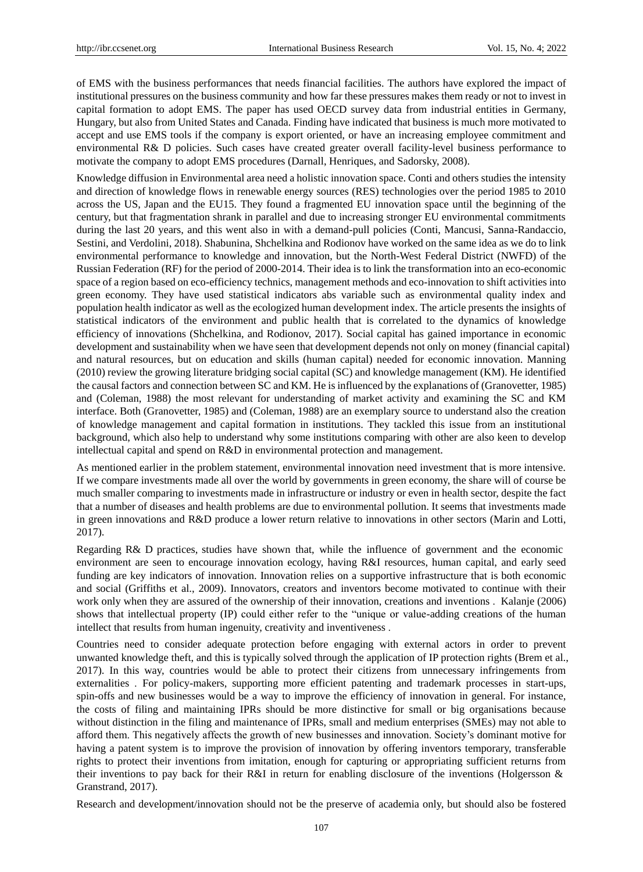of EMS with the business performances that needs financial facilities. The authors have explored the impact of institutional pressures on the business community and how far these pressures makes them ready or not to invest in capital formation to adopt EMS. The paper has used OECD survey data from industrial entities in Germany, Hungary, but also from United States and Canada. Finding have indicated that business is much more motivated to accept and use EMS tools if the company is export oriented, or have an increasing employee commitment and environmental R& D policies. Such cases have created greater overall facility-level business performance to motivate the company to adopt EMS procedures (Darnall, Henriques, and Sadorsky, 2008).

Knowledge diffusion in Environmental area need a holistic innovation space. Conti and others studies the intensity and direction of knowledge flows in renewable energy sources (RES) technologies over the period 1985 to 2010 across the US, Japan and the EU15. They found a fragmented EU innovation space until the beginning of the century, but that fragmentation shrank in parallel and due to increasing stronger EU environmental commitments during the last 20 years, and this went also in with a demand-pull policies (Conti, Mancusi, Sanna-Randaccio, Sestini, and Verdolini, 2018). Shabunina, Shchelkina and Rodionov have worked on the same idea as we do to link environmental performance to knowledge and innovation, but the North-West Federal District (NWFD) of the Russian Federation (RF) for the period of 2000-2014. Their idea is to link the transformation into an eco-economic space of a region based on eco-efficiency technics, management methods and eco-innovation to shift activities into green economy. They have used statistical indicators abs variable such as environmental quality index and population health indicator as well as the ecologized human development index. The article presents the insights of statistical indicators of the environment and public health that is correlated to the dynamics of knowledge efficiency of innovations (Shchelkina, and Rodionov, 2017). Social capital has gained importance in economic development and sustainability when we have seen that development depends not only on money (financial capital) and natural resources, but on education and skills (human capital) needed for economic innovation. Manning (2010) review the growing literature bridging social capital (SC) and knowledge management (KM). He identified the causal factors and connection between SC and KM. He is influenced by the explanations of (Granovetter, 1985) and (Coleman, 1988) the most relevant for understanding of market activity and examining the SC and KM interface. Both (Granovetter, 1985) and (Coleman, 1988) are an exemplary source to understand also the creation of knowledge management and capital formation in institutions. They tackled this issue from an institutional background, which also help to understand why some institutions comparing with other are also keen to develop intellectual capital and spend on R&D in environmental protection and management.

As mentioned earlier in the problem statement, environmental innovation need investment that is more intensive. If we compare investments made all over the world by governments in green economy, the share will of course be much smaller comparing to investments made in infrastructure or industry or even in health sector, despite the fact that a number of diseases and health problems are due to environmental pollution. It seems that investments made in green innovations and R&D produce a lower return relative to innovations in other sectors (Marin and Lotti, 2017).

Regarding R& D practices, studies have shown that, while the influence of government and the economic environment are seen to encourage innovation ecology, having R&I resources, human capital, and early seed funding are key indicators of innovation. Innovation relies on a supportive infrastructure that is both economic and social (Griffiths et al., 2009). Innovators, creators and inventors become motivated to continue with their work only when they are assured of the ownership of their innovation, creations and inventions . Kalanje (2006) shows that intellectual property (IP) could either refer to the "unique or value-adding creations of the human intellect that results from human ingenuity, creativity and inventiveness .

Countries need to consider adequate protection before engaging with external actors in order to prevent unwanted knowledge theft, and this is typically solved through the application of IP protection rights (Brem et al., 2017). In this way, countries would be able to protect their citizens from unnecessary infringements from externalities . For policy-makers, supporting more efficient patenting and trademark processes in start-ups, spin-offs and new businesses would be a way to improve the efficiency of innovation in general. For instance, the costs of filing and maintaining IPRs should be more distinctive for small or big organisations because without distinction in the filing and maintenance of IPRs, small and medium enterprises (SMEs) may not able to afford them. This negatively affects the growth of new businesses and innovation. Society's dominant motive for having a patent system is to improve the provision of innovation by offering inventors temporary, transferable rights to protect their inventions from imitation, enough for capturing or appropriating sufficient returns from their inventions to pay back for their R&I in return for enabling disclosure of the inventions (Holgersson & Granstrand, 2017).

Research and development/innovation should not be the preserve of academia only, but should also be fostered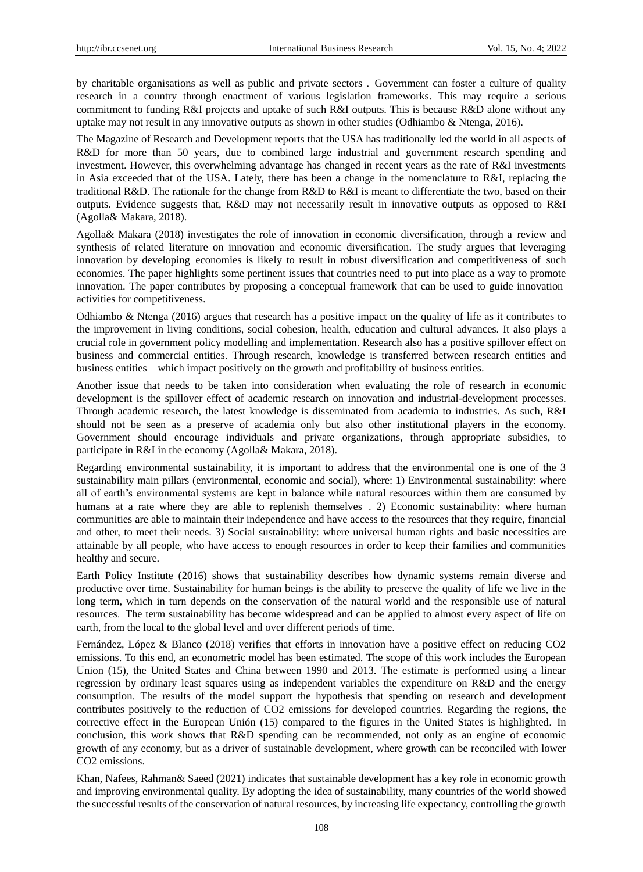by charitable organisations as well as public and private sectors . Government can foster a culture of quality research in a country through enactment of various legislation frameworks. This may require a serious commitment to funding R&I projects and uptake of such R&I outputs. This is because R&D alone without any uptake may not result in any innovative outputs as shown in other studies (Odhiambo & Ntenga, 2016).

The Magazine of Research and Development reports that the USA has traditionally led the world in all aspects of R&D for more than 50 years, due to combined large industrial and government research spending and investment. However, this overwhelming advantage has changed in recent years as the rate of R&I investments in Asia exceeded that of the USA. Lately, there has been a change in the nomenclature to R&I, replacing the traditional R&D. The rationale for the change from R&D to R&I is meant to differentiate the two, based on their outputs. Evidence suggests that, R&D may not necessarily result in innovative outputs as opposed to R&I (Agolla& Makara, 2018).

Agolla& Makara (2018) investigates the role of innovation in economic diversification, through a review and synthesis of related literature on innovation and economic diversification. The study argues that leveraging innovation by developing economies is likely to result in robust diversification and competitiveness of such economies. The paper highlights some pertinent issues that countries need to put into place as a way to promote innovation. The paper contributes by proposing a conceptual framework that can be used to guide innovation activities for competitiveness.

Odhiambo & Ntenga (2016) argues that research has a positive impact on the quality of life as it contributes to the improvement in living conditions, social cohesion, health, education and cultural advances. It also plays a crucial role in government policy modelling and implementation. Research also has a positive spillover effect on business and commercial entities. Through research, knowledge is transferred between research entities and business entities – which impact positively on the growth and profitability of business entities.

Another issue that needs to be taken into consideration when evaluating the role of research in economic development is the spillover effect of academic research on innovation and industrial-development processes. Through academic research, the latest knowledge is disseminated from academia to industries. As such, R&I should not be seen as a preserve of academia only but also other institutional players in the economy. Government should encourage individuals and private organizations, through appropriate subsidies, to participate in R&I in the economy (Agolla& Makara, 2018).

Regarding environmental sustainability, it is important to address that the environmental one is one of the 3 sustainability main pillars (environmental, economic and social), where: 1) Environmental sustainability: where all of earth's environmental systems are kept in balance while natural resources within them are consumed by humans at a rate where they are able to replenish themselves . 2) Economic sustainability: where human communities are able to maintain their independence and have access to the resources that they require, financial and other, to meet their needs. 3) Social sustainability: where universal human rights and basic necessities are attainable by all people, who have access to enough resources in order to keep their families and communities healthy and secure.

Earth Policy Institute (2016) shows that sustainability describes how dynamic systems remain diverse and productive over time. Sustainability for human beings is the ability to preserve the quality of life we live in the long term, which in turn depends on the conservation of the natural world and the responsible use of natural resources. The term sustainability has become widespread and can be applied to almost every aspect of life on earth, from the local to the global level and over different periods of time.

Fernández, López & Blanco (2018) verifies that efforts in innovation have a positive effect on reducing CO2 emissions. To this end, an econometric model has been estimated. The scope of this work includes the European Union (15), the United States and China between 1990 and 2013. The estimate is performed using a linear regression by ordinary least squares using as independent variables the expenditure on R&D and the energy consumption. The results of the model support the hypothesis that spending on research and development contributes positively to the reduction of CO2 emissions for developed countries. Regarding the regions, the corrective effect in the European Unión (15) compared to the figures in the United States is highlighted. In conclusion, this work shows that R&D spending can be recommended, not only as an engine of economic growth of any economy, but as a driver of sustainable development, where growth can be reconciled with lower CO2 emissions.

Khan, Nafees, Rahman& Saeed (2021) indicates that sustainable development has a key role in economic growth and improving environmental quality. By adopting the idea of sustainability, many countries of the world showed the successful results of the conservation of natural resources, by increasing life expectancy, controlling the growth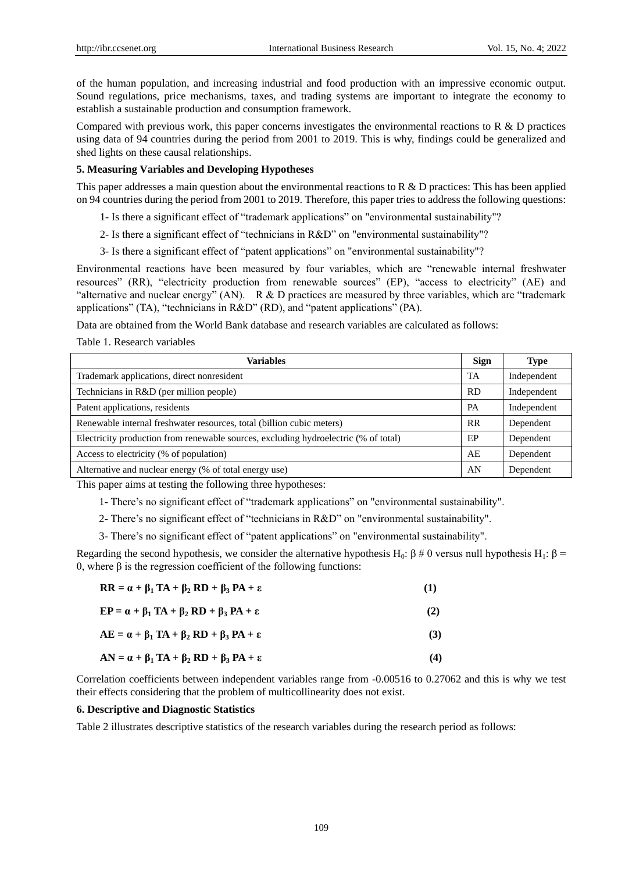of the human population, and increasing industrial and food production with an impressive economic output. Sound regulations, price mechanisms, taxes, and trading systems are important to integrate the economy to establish a sustainable production and consumption framework.

Compared with previous work, this paper concerns investigates the environmental reactions to R & D practices using data of 94 countries during the period from 2001 to 2019. This is why, findings could be generalized and shed lights on these causal relationships.

## **5. Measuring Variables and Developing Hypotheses**

This paper addresses a main question about the environmental reactions to R  $\&$  D practices: This has been applied on 94 countries during the period from 2001 to 2019. Therefore, this paper tries to address the following questions:

- 1- Is there a significant effect of "trademark applications" on "environmental sustainability"?
- 2- Is there a significant effect of "technicians in R&D" on "environmental sustainability"?
- 3- Is there a significant effect of "patent applications" on "environmental sustainability"?

Environmental reactions have been measured by four variables, which are "renewable internal freshwater resources" (RR), "electricity production from renewable sources" (EP), "access to electricity" (AE) and "alternative and nuclear energy" (AN). R & D practices are measured by three variables, which are "trademark applications" (TA), "technicians in  $R&D$ " (RD), and "patent applications" (PA).

Data are obtained from the World Bank database and research variables are calculated as follows:

Table 1. Research variables

| <b>Variables</b>                                                                    | Sign      | <b>Type</b> |
|-------------------------------------------------------------------------------------|-----------|-------------|
| Trademark applications, direct nonresident                                          | TA        | Independent |
| Technicians in R&D (per million people)                                             | <b>RD</b> | Independent |
| Patent applications, residents                                                      | PA        | Independent |
| Renewable internal freshwater resources, total (billion cubic meters)               | <b>RR</b> | Dependent   |
| Electricity production from renewable sources, excluding hydroelectric (% of total) | EP        | Dependent   |
| Access to electricity (% of population)                                             | AE        | Dependent   |
| Alternative and nuclear energy (% of total energy use)                              | AN        | Dependent   |

This paper aims at testing the following three hypotheses:

1- There's no significant effect of "trademark applications" on "environmental sustainability".

2- There's no significant effect of "technicians in R&D" on "environmental sustainability".

3- There's no significant effect of "patent applications" on "environmental sustainability".

Regarding the second hypothesis, we consider the alternative hypothesis H<sub>0</sub>: β # 0 versus null hypothesis H<sub>1</sub>: β = 0, where β is the regression coefficient of the following functions:

| $RR = \alpha + \beta_1 TA + \beta_2 RD + \beta_3 PA + \epsilon$ | (1) |
|-----------------------------------------------------------------|-----|
| $EP = \alpha + \beta_1 TA + \beta_2 RD + \beta_3 PA + \epsilon$ | (2) |
| $AE = \alpha + \beta_1 TA + \beta_2 RD + \beta_3 PA + \epsilon$ | (3) |
| $AN = \alpha + \beta_1 TA + \beta_2 RD + \beta_3 PA + \epsilon$ | (4) |

Correlation coefficients between independent variables range from -0.00516 to 0.27062 and this is why we test their effects considering that the problem of multicollinearity does not exist.

### **6. Descriptive and Diagnostic Statistics**

Table 2 illustrates descriptive statistics of the research variables during the research period as follows: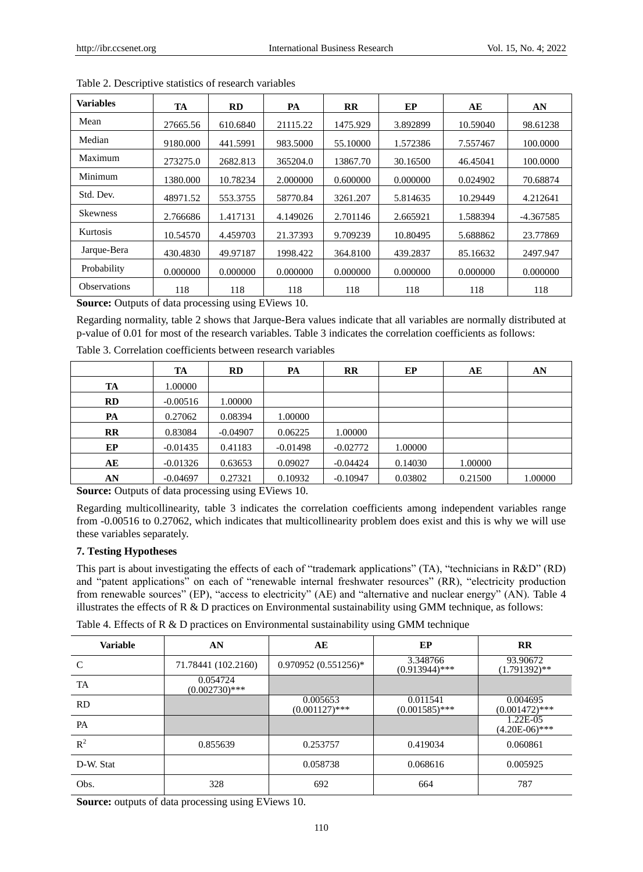| <b>Variables</b>    | TA       | <b>RD</b> | PA       | <b>RR</b> | EP       | AЕ       | AN          |
|---------------------|----------|-----------|----------|-----------|----------|----------|-------------|
| Mean                | 27665.56 | 610.6840  | 21115.22 | 1475.929  | 3.892899 | 10.59040 | 98.61238    |
| Median              | 9180.000 | 441.5991  | 983.5000 | 55.10000  | 1.572386 | 7.557467 | 100.0000    |
| Maximum             | 273275.0 | 2682.813  | 365204.0 | 13867.70  | 30.16500 | 46.45041 | 100.0000    |
| Minimum             | 1380.000 | 10.78234  | 2.000000 | 0.600000  | 0.000000 | 0.024902 | 70.68874    |
| Std. Dev.           | 48971.52 | 553.3755  | 58770.84 | 3261.207  | 5.814635 | 10.29449 | 4.212641    |
| <b>Skewness</b>     | 2.766686 | 1.417131  | 4.149026 | 2.701146  | 2.665921 | 1.588394 | $-4.367585$ |
| Kurtosis            | 10.54570 | 4.459703  | 21.37393 | 9.709239  | 10.80495 | 5.688862 | 23.77869    |
| Jarque-Bera         | 430.4830 | 49.97187  | 1998.422 | 364.8100  | 439.2837 | 85.16632 | 2497.947    |
| Probability         | 0.000000 | 0.000000  | 0.000000 | 0.000000  | 0.000000 | 0.000000 | 0.000000    |
| <b>Observations</b> | 118      | 118       | 118      | 118       | 118      | 118      | 118         |

Table 2. Descriptive statistics of research variables

**Source:** Outputs of data processing using EViews 10.

Regarding normality, table 2 shows that Jarque-Bera values indicate that all variables are normally distributed at p-value of 0.01 for most of the research variables. Table 3 indicates the correlation coefficients as follows:

|           | TA         | <b>RD</b>  | PA         | $_{\rm RR}$ | EP      | AE      | AN      |
|-----------|------------|------------|------------|-------------|---------|---------|---------|
| TA        | 1.00000    |            |            |             |         |         |         |
| RD        | $-0.00516$ | 1.00000    |            |             |         |         |         |
| PA        | 0.27062    | 0.08394    | 1.00000    |             |         |         |         |
| <b>RR</b> | 0.83084    | $-0.04907$ | 0.06225    | 1.00000     |         |         |         |
| EP        | $-0.01435$ | 0.41183    | $-0.01498$ | $-0.02772$  | 1.00000 |         |         |
| AЕ        | $-0.01326$ | 0.63653    | 0.09027    | $-0.04424$  | 0.14030 | 1.00000 |         |
| AN        | $-0.04697$ | 0.27321    | 0.10932    | $-0.10947$  | 0.03802 | 0.21500 | 1.00000 |

Table 3. Correlation coefficients between research variables

**Source:** Outputs of data processing using EViews 10.

Regarding multicollinearity, table 3 indicates the correlation coefficients among independent variables range from -0.00516 to 0.27062, which indicates that multicollinearity problem does exist and this is why we will use these variables separately.

# **7. Testing Hypotheses**

This part is about investigating the effects of each of "trademark applications" (TA), "technicians in  $R&D$ " (RD) and "patent applications" on each of "renewable internal freshwater resources" (RR), "electricity production from renewable sources" (EP), "access to electricity" (AE) and "alternative and nuclear energy" (AN). Table 4 illustrates the effects of  $R \& D$  practices on Environmental sustainability using GMM technique, as follows:

Table 4. Effects of R & D practices on Environmental sustainability using GMM technique

| <b>Variable</b> | AN                           | AЕ                           | EP                           | $\mathbf{R}$                 |
|-----------------|------------------------------|------------------------------|------------------------------|------------------------------|
| $\mathcal{C}$   | 71.78441 (102.2160)          | 0.970952 (0.551256)*         | 3.348766<br>$(0.913944)$ *** | 93.90672<br>$(1.791392)$ **  |
| TA              | 0.054724<br>$(0.002730)$ *** |                              |                              |                              |
| <b>RD</b>       |                              | 0.005653<br>$(0.001127)$ *** | 0.011541<br>$(0.001585)$ *** | 0.004695<br>$(0.001472)$ *** |
| PA              |                              |                              |                              | 1.22E-05<br>$(4.20E-06)$ *** |
| $R^2$           | 0.855639                     | 0.253757                     | 0.419034                     | 0.060861                     |
| D-W. Stat       |                              | 0.058738                     | 0.068616                     | 0.005925                     |
| Obs.            | 328                          | 692                          | 664                          | 787                          |

**Source:** outputs of data processing using EViews 10.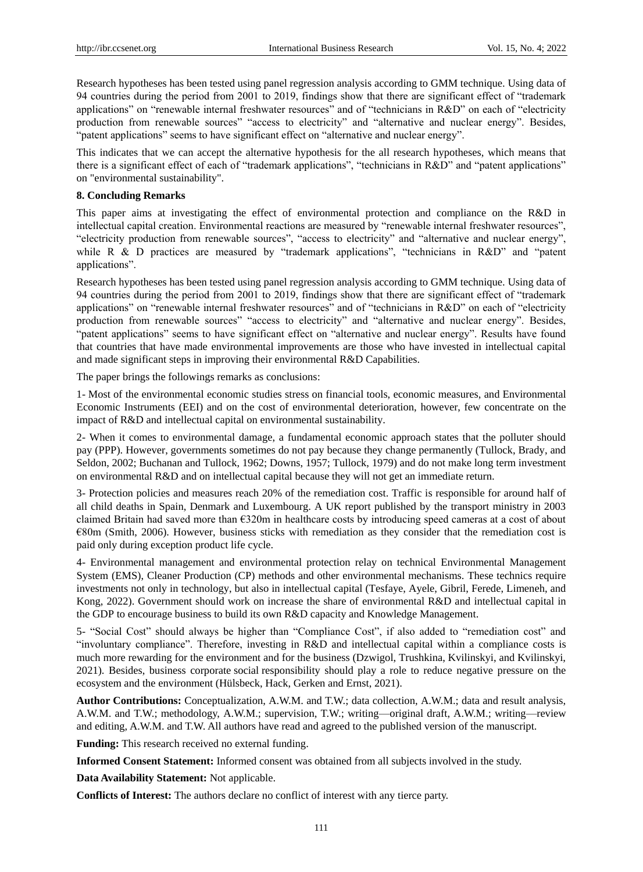Research hypotheses has been tested using panel regression analysis according to GMM technique. Using data of 94 countries during the period from 2001 to 2019, findings show that there are significant effect of "trademark applications" on "renewable internal freshwater resources" and of "technicians in R&D" on each of "electricity production from renewable sources" "access to electricity" and "alternative and nuclear energy". Besides, "patent applications" seems to have significant effect on "alternative and nuclear energy".

This indicates that we can accept the alternative hypothesis for the all research hypotheses, which means that there is a significant effect of each of "trademark applications", "technicians in R&D" and "patent applications" on "environmental sustainability".

#### **8. Concluding Remarks**

This paper aims at investigating the effect of environmental protection and compliance on the R&D in intellectual capital creation. Environmental reactions are measured by "renewable internal freshwater resources", "electricity production from renewable sources", "access to electricity" and "alternative and nuclear energy", while R & D practices are measured by "trademark applications", "technicians in  $R&D$ " and "patent applications".

Research hypotheses has been tested using panel regression analysis according to GMM technique. Using data of 94 countries during the period from 2001 to 2019, findings show that there are significant effect of "trademark applications" on "renewable internal freshwater resources" and of "technicians in R&D" on each of "electricity production from renewable sources" "access to electricity" and "alternative and nuclear energy". Besides, "patent applications" seems to have significant effect on "alternative and nuclear energy". Results have found that countries that have made environmental improvements are those who have invested in intellectual capital and made significant steps in improving their environmental R&D Capabilities.

The paper brings the followings remarks as conclusions:

1- Most of the environmental economic studies stress on financial tools, economic measures, and Environmental Economic Instruments (EEI) and on the cost of environmental deterioration, however, few concentrate on the impact of R&D and intellectual capital on environmental sustainability.

2- When it comes to environmental damage, a fundamental economic approach states that the polluter should pay (PPP). However, governments sometimes do not pay because they change permanently (Tullock, Brady, and Seldon, 2002; Buchanan and Tullock, 1962; Downs, 1957; Tullock, 1979) and do not make long term investment on environmental R&D and on intellectual capital because they will not get an immediate return.

3- Protection policies and measures reach 20% of the remediation cost. Traffic is responsible for around half of all child deaths in Spain, Denmark and Luxembourg. A UK report published by the transport ministry in 2003 claimed Britain had saved more than €320m in healthcare costs by introducing speed cameras at a cost of about €80m (Smith, 2006). However, business sticks with remediation as they consider that the remediation cost is paid only during exception product life cycle.

4- Environmental management and environmental protection relay on technical Environmental Management System (EMS), Cleaner Production (CP) methods and other environmental mechanisms. These technics require investments not only in technology, but also in intellectual capital (Tesfaye, Ayele, Gibril, Ferede, Limeneh, and Kong, 2022). Government should work on increase the share of environmental R&D and intellectual capital in the GDP to encourage business to build its own R&D capacity and Knowledge Management.

5- "Social Cost" should always be higher than "Compliance Cost", if also added to "remediation cost" and "involuntary compliance". Therefore, investing in R&D and intellectual capital within a compliance costs is much more rewarding for the environment and for the business (Dzwigol, Trushkina, Kvilinskyi, and Kvilinskyi, 2021). Besides, business corporate social responsibility should play a role to reduce negative pressure on the ecosystem and the environment (Hülsbeck, Hack, Gerken and Ernst, 2021).

**Author Contributions:** Conceptualization, A.W.M. and T.W.; data collection, A.W.M.; data and result analysis, A.W.M. and T.W.; methodology, A.W.M.; supervision, T.W.; writing—original draft, A.W.M.; writing—review and editing, A.W.M. and T.W. All authors have read and agreed to the published version of the manuscript.

**Funding:** This research received no external funding.

**Informed Consent Statement:** Informed consent was obtained from all subjects involved in the study.

**Data Availability Statement:** Not applicable.

**Conflicts of Interest:** The authors declare no conflict of interest with any tierce party.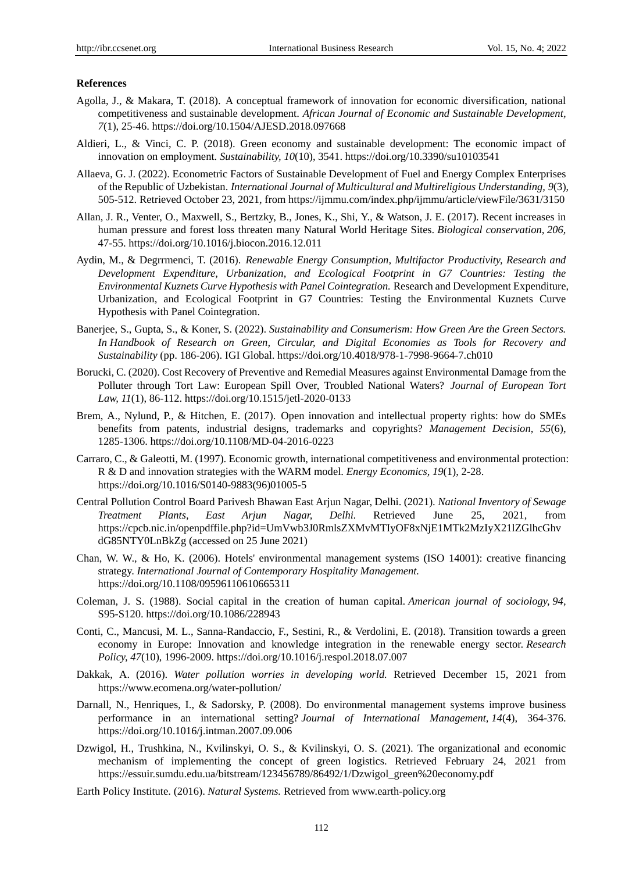#### **References**

- Agolla, J., & Makara, T. (2018). A conceptual framework of innovation for economic diversification, national competitiveness and sustainable development. *African Journal of Economic and Sustainable Development, 7*(1), 25-46. https://doi.org/10.1504/AJESD.2018.097668
- Aldieri, L., & Vinci, C. P. (2018). Green economy and sustainable development: The economic impact of innovation on employment. *Sustainability, 10*(10), 3541. https://doi.org/10.3390/su10103541
- Allaeva, G. J. (2022). Econometric Factors of Sustainable Development of Fuel and Energy Complex Enterprises of the Republic of Uzbekistan. *International Journal of Multicultural and Multireligious Understanding, 9*(3), 505-512. Retrieved October 23, 2021, from<https://ijmmu.com/index.php/ijmmu/article/viewFile/3631/3150>
- Allan, J. R., Venter, O., Maxwell, S., Bertzky, B., Jones, K., Shi, Y., & Watson, J. E. (2017). Recent increases in human pressure and forest loss threaten many Natural World Heritage Sites. *Biological conservation, 206,*  47-55. https://doi.org/10.1016/j.biocon.2016.12.011
- Aydin, M., & Degrrmenci, T. (2016). *Renewable Energy Consumption, Multifactor Productivity, Research and Development Expenditure, Urbanization, and Ecological Footprint in G7 Countries: Testing the Environmental Kuznets Curve Hypothesis with Panel Cointegration.* Research and Development Expenditure, Urbanization, and Ecological Footprint in G7 Countries: Testing the Environmental Kuznets Curve Hypothesis with Panel Cointegration.
- Banerjee, S., Gupta, S., & Koner, S. (2022). *Sustainability and Consumerism: How Green Are the Green Sectors. In Handbook of Research on Green, Circular, and Digital Economies as Tools for Recovery and Sustainability* (pp. 186-206). IGI Global. https://doi.org/10.4018/978-1-7998-9664-7.ch010
- Borucki, C. (2020). Cost Recovery of Preventive and Remedial Measures against Environmental Damage from the Polluter through Tort Law: European Spill Over, Troubled National Waters? *Journal of European Tort Law, 11*(1), 86-112. https://doi.org/10.1515/jetl-2020-0133
- Brem, A., Nylund, P., & Hitchen, E. (2017). Open innovation and intellectual property rights: how do SMEs benefits from patents, industrial designs, trademarks and copyrights? *Management Decision, 55*(6), 1285-1306. https://doi.org/10.1108/MD-04-2016-0223
- Carraro, C., & Galeotti, M. (1997). Economic growth, international competitiveness and environmental protection: R & D and innovation strategies with the WARM model. *Energy Economics, 19*(1), 2-28. https://doi.org/10.1016/S0140-9883(96)01005-5
- Central Pollution Control Board Parivesh Bhawan East Arjun Nagar, Delhi. (2021). *National Inventory of Sewage Treatment Plants, East Arjun Nagar, Delhi.* Retrieved June 25, 2021, from [https://cpcb.nic.in/openpdffile.php?id=UmVwb3J0RmlsZXMvMTIyOF8xNjE1MTk2MzIyX21lZGlhcGhv](https://cpcb.nic.in/openpdffile.php?id=UmVwb3J0RmlsZXMvMTIyOF8xNjE1MTk2MzIyX21lZGlhcGhvdG85NTY0LnBkZg) [dG85NTY0LnBkZg](https://cpcb.nic.in/openpdffile.php?id=UmVwb3J0RmlsZXMvMTIyOF8xNjE1MTk2MzIyX21lZGlhcGhvdG85NTY0LnBkZg) (accessed on 25 June 2021)
- Chan, W. W., & Ho, K. (2006). Hotels' environmental management systems (ISO 14001): creative financing strategy. *International Journal of Contemporary Hospitality Management.* https://doi.org/10.1108/09596110610665311
- Coleman, J. S. (1988). Social capital in the creation of human capital. *American journal of sociology, 94,*  S95-S120. https://doi.org/10.1086/228943
- Conti, C., Mancusi, M. L., Sanna-Randaccio, F., Sestini, R., & Verdolini, E. (2018). Transition towards a green economy in Europe: Innovation and knowledge integration in the renewable energy sector. *Research Policy, 47*(10), 1996-2009. https://doi.org/10.1016/j.respol.2018.07.007
- Dakkak, A. (2016). *Water pollution worries in developing world.* Retrieved December 15, 2021 from <https://www.ecomena.org/water-pollution/>
- Darnall, N., Henriques, I., & Sadorsky, P. (2008). Do environmental management systems improve business performance in an international setting? *Journal of International Management, 14*(4), 364-376. https://doi.org/10.1016/j.intman.2007.09.006
- Dzwigol, H., Trushkina, N., Kvilinskyi, O. S., & Kvilinskyi, O. S. (2021). The organizational and economic mechanism of implementing the concept of green logistics. Retrieved February 24, 2021 from [https://essuir.sumdu.edu.ua/bitstream/123456789/86492/1/Dzwigol\\_green%20economy.pdf](https://essuir.sumdu.edu.ua/bitstream/123456789/86492/1/Dzwigol_green%20economy.pdf)
- Earth Policy Institute. (2016). *Natural Systems.* Retrieved from www.earth-policy.org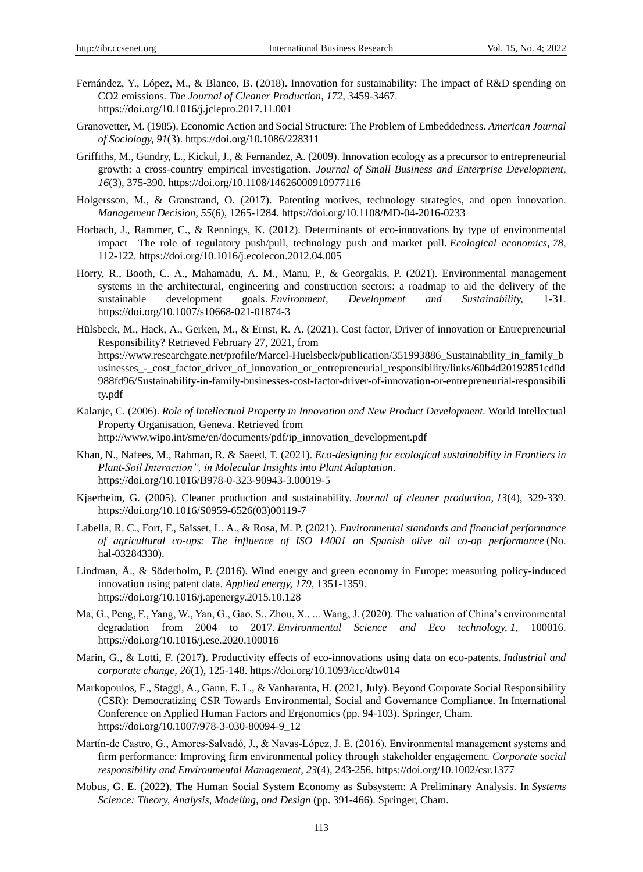- Fernández, Y., López, M., & Blanco, B. (2018). Innovation for sustainability: The impact of R&D spending on CO2 emissions. *The Journal of Cleaner Production, 172,* 3459-3467. https://doi.org/10.1016/j.jclepro.2017.11.001
- Granovetter, M. (1985). Economic Action and Social Structure: The Problem of Embeddedness. *American Journal of Sociology, 91*(3). https://doi.org/10.1086/228311
- Griffiths, M., Gundry, L., Kickul, J., & Fernandez, A. (2009). Innovation ecology as a precursor to entrepreneurial growth: a cross-country empirical investigation. *Journal of Small Business and Enterprise Development, 16*(3), 375-390. https://doi.org/10.1108/14626000910977116
- Holgersson, M., & Granstrand, O. (2017). Patenting motives, technology strategies, and open innovation. *Management Decision, 55*(6), 1265-1284. https://doi.org/10.1108/MD-04-2016-0233
- Horbach, J., Rammer, C., & Rennings, K. (2012). Determinants of eco-innovations by type of environmental impact—The role of regulatory push/pull, technology push and market pull. *Ecological economics, 78,*  112-122. https://doi.org/10.1016/j.ecolecon.2012.04.005
- Horry, R., Booth, C. A., Mahamadu, A. M., Manu, P., & Georgakis, P. (2021). Environmental management systems in the architectural, engineering and construction sectors: a roadmap to aid the delivery of the sustainable development goals. *Environment, Development and Sustainability,* 1-31. https://doi.org/10.1007/s10668-021-01874-3
- Hülsbeck, M., Hack, A., Gerken, M., & Ernst, R. A. (2021). Cost factor, Driver of innovation or Entrepreneurial Responsibility? Retrieved February 27, 2021, from [https://www.researchgate.net/profile/Marcel-Huelsbeck/publication/351993886\\_Sustainability\\_in\\_family\\_b](https://www.researchgate.net/profile/Marcel-Huelsbeck/publication/351993886_Sustainability_in_family_businesses_-_cost_factor_driver_of_innovation_or_entrepreneurial_responsibility/links/60b4d20192851cd0d988fd96/Sustainability-in-family-businesses-cost-factor-driver-of-innovation-or-entrepreneurial-responsibility.pdf) usinesses - cost factor driver of innovation or entrepreneurial responsibility/links/60b4d20192851cd0d [988fd96/Sustainability-in-family-businesses-cost-factor-driver-of-innovation-or-entrepreneurial-responsibili](https://www.researchgate.net/profile/Marcel-Huelsbeck/publication/351993886_Sustainability_in_family_businesses_-_cost_factor_driver_of_innovation_or_entrepreneurial_responsibility/links/60b4d20192851cd0d988fd96/Sustainability-in-family-businesses-cost-factor-driver-of-innovation-or-entrepreneurial-responsibility.pdf) [ty.pdf](https://www.researchgate.net/profile/Marcel-Huelsbeck/publication/351993886_Sustainability_in_family_businesses_-_cost_factor_driver_of_innovation_or_entrepreneurial_responsibility/links/60b4d20192851cd0d988fd96/Sustainability-in-family-businesses-cost-factor-driver-of-innovation-or-entrepreneurial-responsibility.pdf)
- Kalanje, C. (2006). *Role of Intellectual Property in Innovation and New Product Development.* World Intellectual Property Organisation, Geneva. Retrieved from http://www.wipo.int/sme/en/documents/pdf/ip\_innovation\_development.pdf
- Khan, N., Nafees, M., Rahman, R. & Saeed, T. (2021). *Eco-designing for ecological sustainability in Frontiers in Plant-Soil Interaction", in Molecular Insights into Plant Adaptation.* https://doi.org/10.1016/B978-0-323-90943-3.00019-5
- Kjaerheim, G. (2005). Cleaner production and sustainability. *Journal of cleaner production, 13*(4), 329-339. https://doi.org/10.1016/S0959-6526(03)00119-7
- Labella, R. C., Fort, F., Saïsset, L. A., & Rosa, M. P. (2021). *Environmental standards and financial performance of agricultural co-ops: The influence of ISO 14001 on Spanish olive oil co-op performance* (No. hal-03284330).
- Lindman, Å., & Söderholm, P. (2016). Wind energy and green economy in Europe: measuring policy-induced innovation using patent data. *Applied energy, 179,* 1351-1359. https://doi.org/10.1016/j.apenergy.2015.10.128
- Ma, G., Peng, F., Yang, W., Yan, G., Gao, S., Zhou, X., ... Wang, J. (2020). The valuation of China's environmental degradation from 2004 to 2017. *Environmental Science and Eco technology, 1,* 100016. https://doi.org/10.1016/j.ese.2020.100016
- Marin, G., & Lotti, F. (2017). Productivity effects of eco-innovations using data on eco-patents. *Industrial and corporate change, 26*(1), 125-148. https://doi.org/10.1093/icc/dtw014
- Markopoulos, E., Staggl, A., Gann, E. L., & Vanharanta, H. (2021, July). Beyond Corporate Social Responsibility (CSR): Democratizing CSR Towards Environmental, Social and Governance Compliance. In International Conference on Applied Human Factors and Ergonomics (pp. 94-103). Springer, Cham. https://doi.org/10.1007/978-3-030-80094-9\_12
- Martín-de Castro, G., Amores-Salvadó, J., & Navas-López, J. E. (2016). Environmental management systems and firm performance: Improving firm environmental policy through stakeholder engagement. *Corporate social responsibility and Environmental Management, 23*(4), 243-256. https://doi.org/10.1002/csr.1377
- Mobus, G. E. (2022). The Human Social System Economy as Subsystem: A Preliminary Analysis. In *Systems Science: Theory, Analysis, Modeling, and Design* (pp. 391-466). Springer, Cham.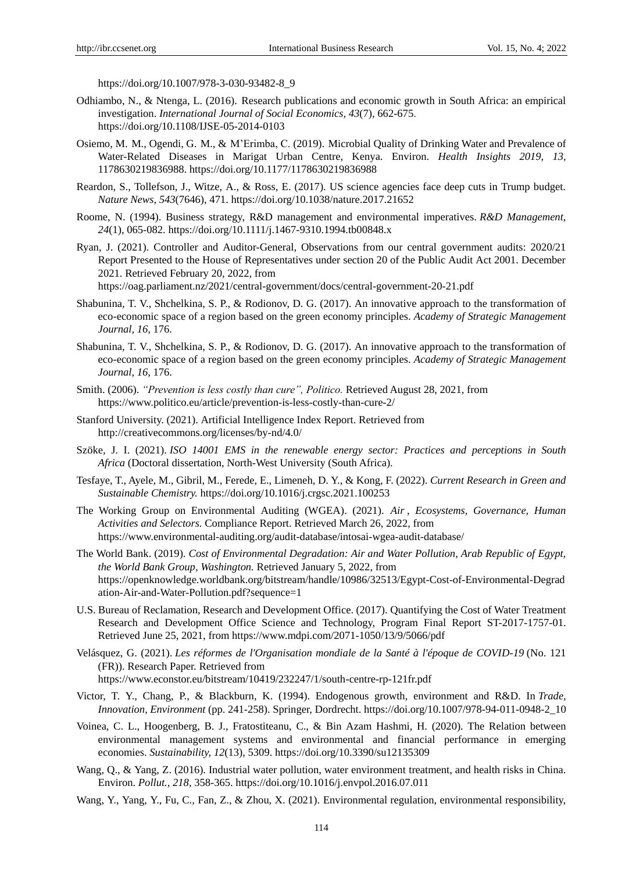https://doi.org/10.1007/978-3-030-93482-8\_9

- Odhiambo, N., & Ntenga, L. (2016). Research publications and economic growth in South Africa: an empirical investigation. *International Journal of Social Economics, 43*(7), 662-675. https://doi.org/10.1108/IJSE-05-2014-0103
- Osiemo, M. M., Ogendi, G. M., & M'Erimba, C. (2019). Microbial Quality of Drinking Water and Prevalence of Water-Related Diseases in Marigat Urban Centre, Kenya. Environ. *Health Insights 2019, 13,*  1178630219836988. https://doi.org/10.1177/1178630219836988
- Reardon, S., Tollefson, J., Witze, A., & Ross, E. (2017). US science agencies face deep cuts in Trump budget. *Nature News, 543*(7646), 471. https://doi.org/10.1038/nature.2017.21652
- Roome, N. (1994). Business strategy, R&D management and environmental imperatives. *R&D Management, 24*(1), 065-082. https://doi.org/10.1111/j.1467-9310.1994.tb00848.x
- Ryan, J. (2021). Controller and Auditor-General, Observations from our central government audits: 2020/21 Report Presented to the House of Representatives under section 20 of the Public Audit Act 2001. December 2021. Retrieved February 20, 2022, from <https://oag.parliament.nz/2021/central-government/docs/central-government-20-21.pdf>
- Shabunina, T. V., Shchelkina, S. P., & Rodionov, D. G. (2017). An innovative approach to the transformation of eco-economic space of a region based on the green economy principles. *Academy of Strategic Management Journal, 16,* 176.
- Shabunina, T. V., Shchelkina, S. P., & Rodionov, D. G. (2017). An innovative approach to the transformation of eco-economic space of a region based on the green economy principles. *Academy of Strategic Management Journal, 16,* 176.
- Smith. (2006). *"Prevention is less costly than cure", Politico.* Retrieved August 28, 2021, from https://www.politico.eu/article/prevention-is-less-costly-than-cure-2/
- Stanford University. (2021). Artificial Intelligence Index Report. Retrieved from http://creativecommons.org/licenses/by-nd/4.0/
- Szöke, J. I. (2021). *ISO 14001 EMS in the renewable energy sector: Practices and perceptions in South Africa* (Doctoral dissertation, North-West University (South Africa).
- Tesfaye, T., Ayele, M., Gibril, M., Ferede, E., Limeneh, D. Y., & Kong, F. (2022). *Current Research in Green and Sustainable Chemistry.* https://doi.org/10.1016/j.crgsc.2021.100253
- The Working Group on Environmental Auditing (WGEA). (2021). *Air , Ecosystems, Governance, Human Activities and Selectors.* Compliance Report. Retrieved March 26, 2022, from <https://www.environmental-auditing.org/audit-database/intosai-wgea-audit-database/>
- The World Bank. (2019). *Cost of Environmental Degradation: Air and Water Pollution, Arab Republic of Egypt, the World Bank Group, Washington.* Retrieved January 5, 2022, from [https://openknowledge.worldbank.org/bitstream/handle/10986/32513/Egypt-Cost-of-Environmental-Degrad](https://openknowledge.worldbank.org/bitstream/handle/10986/32513/Egypt-Cost-of-Environmental-Degradation-Air-and-Water-Pollution.pdf?sequence=1) [ation-Air-and-Water-Pollution.pdf?sequence=1](https://openknowledge.worldbank.org/bitstream/handle/10986/32513/Egypt-Cost-of-Environmental-Degradation-Air-and-Water-Pollution.pdf?sequence=1)
- U.S. Bureau of Reclamation, Research and Development Office. (2017). Quantifying the Cost of Water Treatment Research and Development Office Science and Technology, Program Final Report ST-2017-1757-01. Retrieved June 25, 2021, from<https://www.mdpi.com/2071-1050/13/9/5066/pdf>
- Velásquez, G. (2021). *Les réformes de l'Organisation mondiale de la Santé à l'époque de COVID-19* (No. 121 (FR)). Research Paper. Retrieved from <https://www.econstor.eu/bitstream/10419/232247/1/south-centre-rp-121fr.pdf>
- Victor, T. Y., Chang, P., & Blackburn, K. (1994). Endogenous growth, environment and R&D. In *Trade, Innovation, Environment* (pp. 241-258). Springer, Dordrecht. https://doi.org/10.1007/978-94-011-0948-2\_10
- Voinea, C. L., Hoogenberg, B. J., Fratostiteanu, C., & Bin Azam Hashmi, H. (2020). The Relation between environmental management systems and environmental and financial performance in emerging economies. *Sustainability, 12*(13), 5309. https://doi.org/10.3390/su12135309
- Wang, Q., & Yang, Z. (2016). Industrial water pollution, water environment treatment, and health risks in China. Environ. *Pollut., 218,* 358-365. https://doi.org/10.1016/j.envpol.2016.07.011
- Wang, Y., Yang, Y., Fu, C., Fan, Z., & Zhou, X. (2021). Environmental regulation, environmental responsibility,